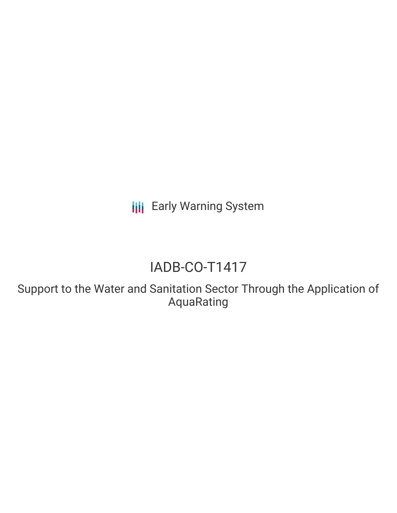**III** Early Warning System

# IADB-CO-T1417

Support to the Water and Sanitation Sector Through the Application of AquaRating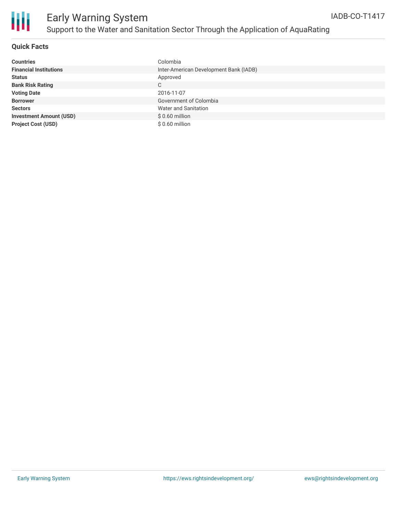

#### **Quick Facts**

| <b>Countries</b>               | Colombia                               |
|--------------------------------|----------------------------------------|
| <b>Financial Institutions</b>  | Inter-American Development Bank (IADB) |
| <b>Status</b>                  | Approved                               |
| <b>Bank Risk Rating</b>        | C                                      |
| <b>Voting Date</b>             | 2016-11-07                             |
| <b>Borrower</b>                | Government of Colombia                 |
| <b>Sectors</b>                 | Water and Sanitation                   |
| <b>Investment Amount (USD)</b> | $$0.60$ million                        |
| <b>Project Cost (USD)</b>      | $$0.60$ million                        |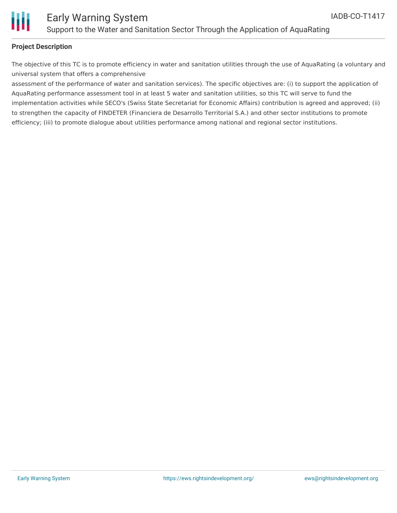

#### **Project Description**

The objective of this TC is to promote efficiency in water and sanitation utilities through the use of AquaRating (a voluntary and universal system that offers a comprehensive

assessment of the performance of water and sanitation services). The specific objectives are: (i) to support the application of AquaRating performance assessment tool in at least 5 water and sanitation utilities, so this TC will serve to fund the implementation activities while SECO's (Swiss State Secretariat for Economic Affairs) contribution is agreed and approved; (ii) to strengthen the capacity of FINDETER (Financiera de Desarrollo Territorial S.A.) and other sector institutions to promote efficiency; (iii) to promote dialogue about utilities performance among national and regional sector institutions.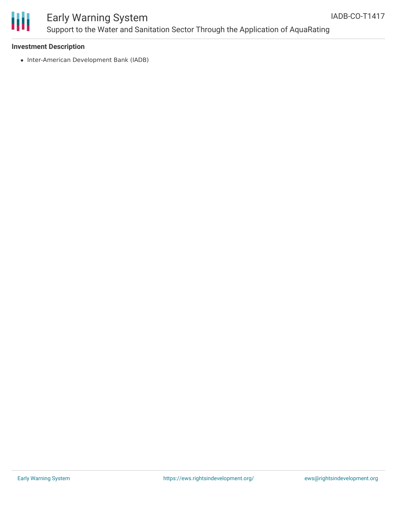

# Early Warning System Support to the Water and Sanitation Sector Through the Application of AquaRating

#### **Investment Description**

• Inter-American Development Bank (IADB)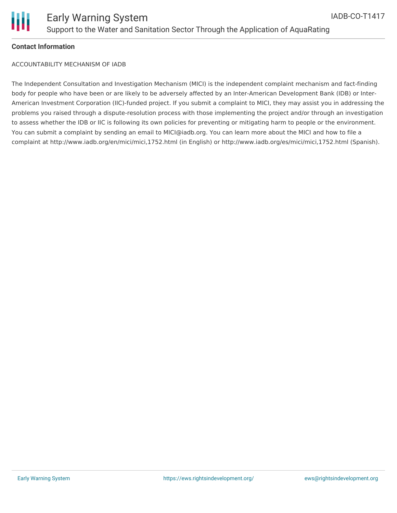

#### **Contact Information**

ACCOUNTABILITY MECHANISM OF IADB

The Independent Consultation and Investigation Mechanism (MICI) is the independent complaint mechanism and fact-finding body for people who have been or are likely to be adversely affected by an Inter-American Development Bank (IDB) or Inter-American Investment Corporation (IIC)-funded project. If you submit a complaint to MICI, they may assist you in addressing the problems you raised through a dispute-resolution process with those implementing the project and/or through an investigation to assess whether the IDB or IIC is following its own policies for preventing or mitigating harm to people or the environment. You can submit a complaint by sending an email to MICI@iadb.org. You can learn more about the MICI and how to file a complaint at http://www.iadb.org/en/mici/mici,1752.html (in English) or http://www.iadb.org/es/mici/mici,1752.html (Spanish).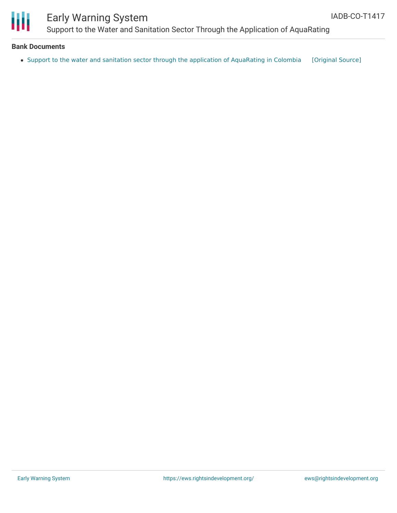

## Early Warning System Support to the Water and Sanitation Sector Through the Application of AquaRating

#### **Bank Documents**

• Support to the water and sanitation sector through the application of [AquaRating](https://ewsdata.rightsindevelopment.org/files/documents/17/IADB-CO-T1417.pdf) in Colombia [\[Original](http://www.iadb.org/Document.cfm?id=40715649) Source]